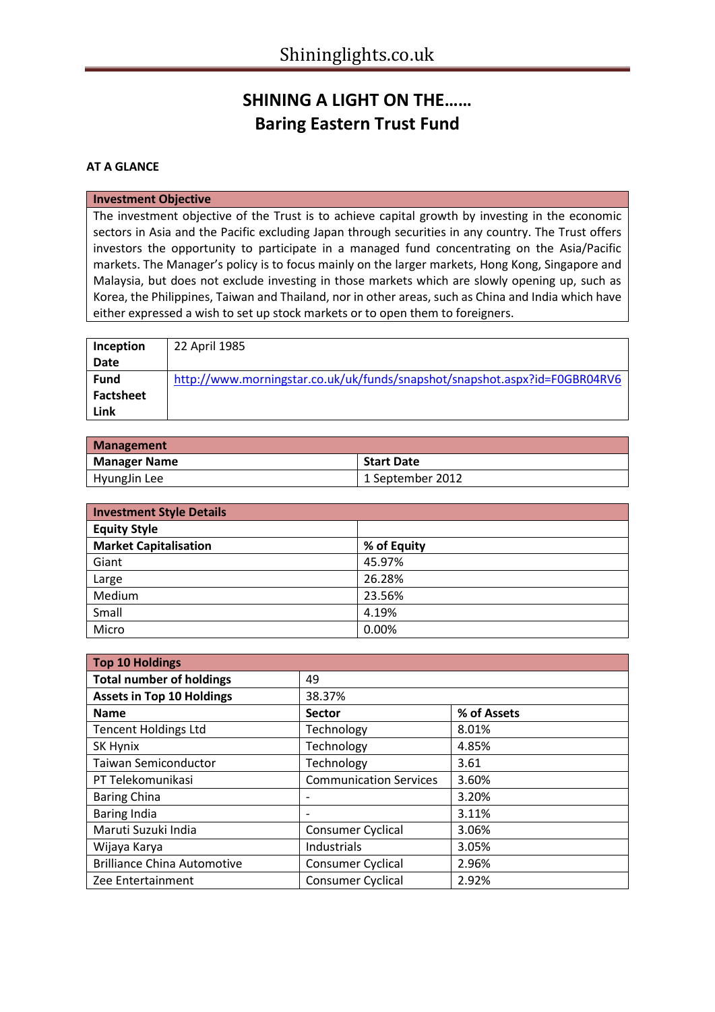# **SHINING A LIGHT ON THE…… Baring Eastern Trust Fund**

### **AT A GLANCE**

#### **Investment Objective**

The investment objective of the Trust is to achieve capital growth by investing in the economic sectors in Asia and the Pacific excluding Japan through securities in any country. The Trust offers investors the opportunity to participate in a managed fund concentrating on the Asia/Pacific markets. The Manager's policy is to focus mainly on the larger markets, Hong Kong, Singapore and Malaysia, but does not exclude investing in those markets which are slowly opening up, such as Korea, the Philippines, Taiwan and Thailand, nor in other areas, such as China and India which have either expressed a wish to set up stock markets or to open them to foreigners.

| Inception   | 22 April 1985                                                              |
|-------------|----------------------------------------------------------------------------|
| <b>Date</b> |                                                                            |
| <b>Fund</b> | http://www.morningstar.co.uk/uk/funds/snapshot/snapshot.aspx?id=F0GBR04RV6 |
| Factsheet   |                                                                            |
| Link        |                                                                            |

| <b>Management</b>   |                   |
|---------------------|-------------------|
| <b>Manager Name</b> | <b>Start Date</b> |
| HyungJin Lee        | 1 September 2012  |

| <b>Investment Style Details</b> |             |  |  |
|---------------------------------|-------------|--|--|
| <b>Equity Style</b>             |             |  |  |
| <b>Market Capitalisation</b>    | % of Equity |  |  |
| Giant                           | 45.97%      |  |  |
| Large                           | 26.28%      |  |  |
| Medium                          | 23.56%      |  |  |
| Small                           | 4.19%       |  |  |
| Micro                           | 0.00%       |  |  |

| <b>Top 10 Holdings</b>             |                               |             |  |
|------------------------------------|-------------------------------|-------------|--|
| <b>Total number of holdings</b>    | 49                            |             |  |
| <b>Assets in Top 10 Holdings</b>   | 38.37%                        |             |  |
| <b>Name</b>                        | <b>Sector</b>                 | % of Assets |  |
| <b>Tencent Holdings Ltd</b>        | Technology                    | 8.01%       |  |
| SK Hynix                           | Technology                    | 4.85%       |  |
| <b>Taiwan Semiconductor</b>        | Technology                    | 3.61        |  |
| PT Telekomunikasi                  | <b>Communication Services</b> | 3.60%       |  |
| <b>Baring China</b>                |                               | 3.20%       |  |
| <b>Baring India</b>                |                               | 3.11%       |  |
| Maruti Suzuki India                | Consumer Cyclical             | 3.06%       |  |
| Wijaya Karya                       | Industrials                   | 3.05%       |  |
| <b>Brilliance China Automotive</b> | <b>Consumer Cyclical</b>      | 2.96%       |  |
| Zee Entertainment                  | <b>Consumer Cyclical</b>      | 2.92%       |  |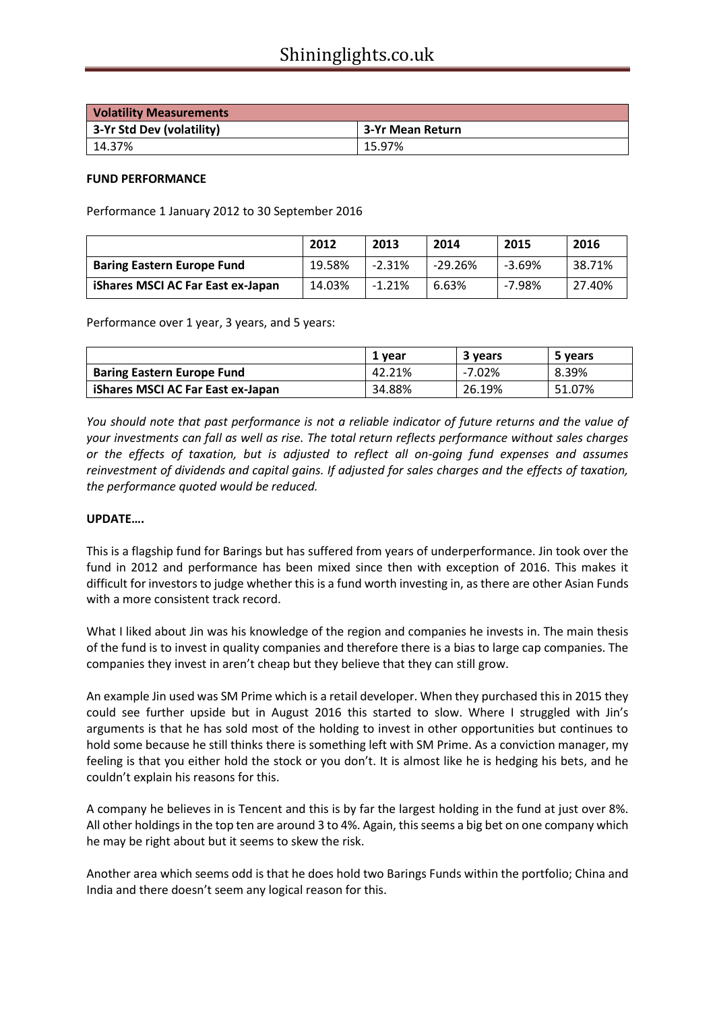| <b>Volatility Measurements</b> |                  |
|--------------------------------|------------------|
| 3-Yr Std Dev (volatility)      | 3-Yr Mean Return |
| 14.37%                         | 15.97%           |

### **FUND PERFORMANCE**

Performance 1 January 2012 to 30 September 2016

|                                   | 2012   | 2013     | 2014      | 2015     | 2016   |
|-----------------------------------|--------|----------|-----------|----------|--------|
| <b>Baring Eastern Europe Fund</b> | 19.58% | $-2.31%$ | $-29.26%$ | $-3.69%$ | 38.71% |
| iShares MSCI AC Far East ex-Japan | 14.03% | $-1.21%$ | 6.63%     | $-7.98%$ | 27.40% |

Performance over 1 year, 3 years, and 5 years:

|                                   | 1 year | 3 years | 5 years |
|-----------------------------------|--------|---------|---------|
| <b>Baring Eastern Europe Fund</b> | 42.21% | -7.02%  | 8.39%   |
| iShares MSCI AC Far East ex-Japan | 34.88% | 26.19%  | 51.07%  |

*You should note that past performance is not a reliable indicator of future returns and the value of your investments can fall as well as rise. The total return reflects performance without sales charges or the effects of taxation, but is adjusted to reflect all on-going fund expenses and assumes reinvestment of dividends and capital gains. If adjusted for sales charges and the effects of taxation, the performance quoted would be reduced.*

### **UPDATE….**

This is a flagship fund for Barings but has suffered from years of underperformance. Jin took over the fund in 2012 and performance has been mixed since then with exception of 2016. This makes it difficult for investors to judge whether this is a fund worth investing in, as there are other Asian Funds with a more consistent track record.

What I liked about Jin was his knowledge of the region and companies he invests in. The main thesis of the fund is to invest in quality companies and therefore there is a bias to large cap companies. The companies they invest in aren't cheap but they believe that they can still grow.

An example Jin used was SM Prime which is a retail developer. When they purchased this in 2015 they could see further upside but in August 2016 this started to slow. Where I struggled with Jin's arguments is that he has sold most of the holding to invest in other opportunities but continues to hold some because he still thinks there is something left with SM Prime. As a conviction manager, my feeling is that you either hold the stock or you don't. It is almost like he is hedging his bets, and he couldn't explain his reasons for this.

A company he believes in is Tencent and this is by far the largest holding in the fund at just over 8%. All other holdings in the top ten are around 3 to 4%. Again, this seems a big bet on one company which he may be right about but it seems to skew the risk.

Another area which seems odd is that he does hold two Barings Funds within the portfolio; China and India and there doesn't seem any logical reason for this.